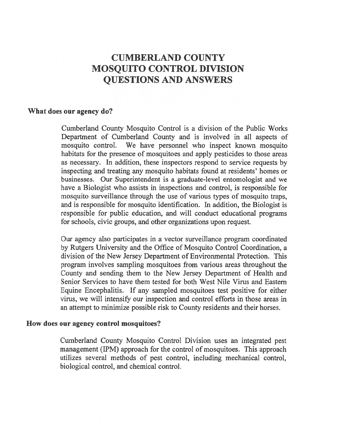## CUMBERLAND COUNTY MOSQUITO CONTROL DIVISION QUESTIONS AND ANSWERS

#### What does our agency do?

Cumberland County Mosquito Control is <sup>a</sup> division of the Public Works Department of Cumberland County and is involved in all aspects of mosquito control. We have personnel who inspect known mosquito habitats for the presence of mosquitoes and apply pesticides to those areas as necessary. In addition, these inspectors respond to service requests by inspecting and treating any mosquito habitats found at residents' homes or businesses. Our Superintendent is <sup>a</sup> graduate-level entomologist and we have <sup>a</sup> Biologist who assists in inspections and control, is responsible for mosquito surveillance through the use of various types of mosquito traps, and is responsible for mosquito identification. In addition, the Biologist is responsible for public education, and will conduct educational programs for schools, civic groups, and other organizations upon request.

Our agency also participates in <sup>a</sup> vector surveillance program coordinated by Rutgers University and the Office of Mosquito Control Coordination, <sup>a</sup> division of the New Jersey Department of Environmental Protection. This program involves sampling mosquitoes from various areas throughout the County and sending them to the New Jersey Department of Health and Senior Services to have them tested for both West Nile Virus and Eastern Equine Encephalitis. If any sampled mosquitoes test positive for either virus, we will intensify our inspection and control efforts in those areas in an attempt to minimize possible risk to County residents and their horses.

#### How does our agency control mosquitoes?

Cumberland County Mosquito Control Division uses an integrated pes<sup>t</sup> managemen<sup>t</sup> (1PM) approach for the control of mosquitoes. This approach utilizes several methods of pes<sup>t</sup> control, including mechanical control, biological control, and chemical control.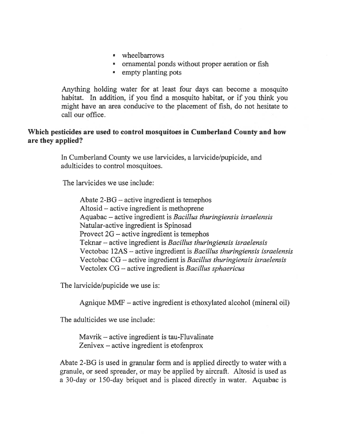- wheelbarrows
- ornamental ponds without proper aeration or fish
- empty planting pots

Anything holding water for at least four days can become <sup>a</sup> mosquito habitat. In addition, if you find <sup>a</sup> mosquito habitat, or if you think you might have an area conducive to the placement of fish, do not hesitate to call our office.

#### Which pesticides are used to control mosquitoes in Cumberland County and how are they applied?

In Cumberland County we use larvicides, a larvicide/pupicide, and adulticides to control mosquitoes.

The larvicides we use include:

Abate 2-BG — active ingredient is temephos Altosid — active ingredient is methoprene Aquabac — active ingredient is Bacillus thuringiensis israelensis Natular-active ingredient is Spinosad Provect 2G — active ingredient is temephos Teknar — active ingredient is Bacillus thuringiensis israelensis Vectobac 12AS — active ingredient is Bacillus thuringiensis israelensis Vectobac CG — active ingredient is Bacillus thuringiensis israelensis Vectolex CG — active ingredient is Bacillus sphaericus

The larvicide/pupicide we use is:

Agnique MMF — active ingredient is ethoxylated alcohol (mineral oil)

The adulticides we use include:

Mavrik — active ingredient is tau-Fluvalinate Zenivex — active ingredient is etofenprox

Abate 2-BG is used in granular form and is applied directly to water with <sup>a</sup> granule, or seed spreader, or may be applied by aircraft. Altosid is used as <sup>a</sup> 30-day or 150-day briquet and is placed directly in water. Aquabac is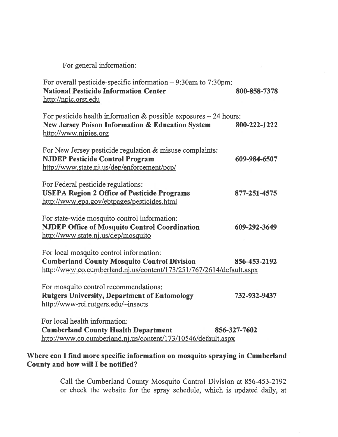For general information:

| For overall pesticide-specific information $-9:30$ am to 7:30pm:<br><b>National Pesticide Information Center</b><br>http://npic.orst.edu                              | 800-858-7378 |
|-----------------------------------------------------------------------------------------------------------------------------------------------------------------------|--------------|
| For pesticide health information $&$ possible exposures $-24$ hours:<br>New Jersey Poison Information & Education System<br>http://www.njpies.org                     | 800-222-1222 |
| For New Jersey pesticide regulation & misuse complaints:<br><b>NJDEP Pesticide Control Program</b><br>http://www.state.nj.us/dep/enforcement/pcp/                     | 609-984-6507 |
| For Federal pesticide regulations:<br><b>USEPA Region 2 Office of Pesticide Programs</b><br>http://www.epa.gov/ebtpages/pesticides.html                               | 877-251-4575 |
| For state-wide mosquito control information:<br><b>NJDEP Office of Mosquito Control Coordination</b><br>http://www.state.nj.us/dep/mosquito                           | 609-292-3649 |
| For local mosquito control information:<br><b>Cumberland County Mosquito Control Division</b><br>http://www.co.cumberland.nj.us/content/173/251/767/2614/default.aspx | 856-453-2192 |
| For mosquito control recommendations:<br><b>Rutgers University, Department of Entomology</b><br>http://www-rci.rutgers.edu/~insects                                   | 732-932-9437 |
| For local health information:<br><b>Cumberland County Health Department</b><br>http://www.co.cumberland.nj.us/content/173/10546/default.aspx                          | 856-327-7602 |

#### Where can <sup>I</sup> find more specific information on mosquito spraying in Cumberland County and how will I be notified?

Call the Cumberiand County Mosquito Control Division at 856-453-2192 or check the website for the spray schedule, which is updated daily, at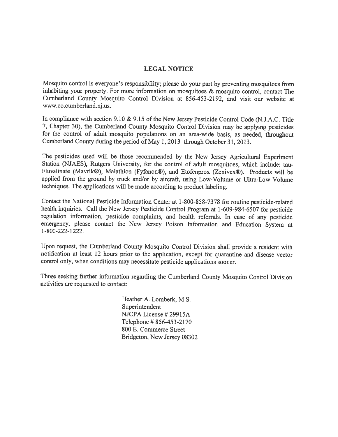#### LEGAL NOTICE

Mosquito control is everyone's responsibility; <sup>p</sup>lease do your par<sup>t</sup> by preventing mosquitoes from inhabiting your property. For more information on mosquitoes & mosquito control, contact The Cumberland County Mosquito Control Division at 856-453-2192, and visit our website at www.co.cumberland.nj .us.

In compliance with section 9.10 & 9.15 of the New Jersey Pesticide Control Code (N.J.A.C. Title 7, Chapter 30), the Cumberland County Mosquito Control Division may be applying pesticides for the control of adult mosquito populations on an area-wide basis, as needed, throughout Curnberland County during the period of May 1, <sup>2013</sup> through October 31, 2013.

The pesticides used will be those recommended by the New Jersey Agricultural Experiment Station (NJAES), Rutgers University, for the control of adult mosquitoes, which include: tau Fluvalinate (Mavrik®), Malathion (Fyfanon®), and Etofenprox (Zenivex®). Products will be applied from the groun<sup>d</sup> by truck and/or by aircraft, using Low-Volume or Ultra-Low Volume techniques. The applications will be made according to product labeling.

Contact the National Pesticide Information Center at 1-800-858-7378 for routine pesticide-related health inquiries. Call the New Jersey Pesticide Control Program at 1-609-984-6507 for pesticide regulation information, pesticide complaints, and health referrals. In case of any pesticide emergency, <sup>p</sup>lease contact the New Jersey Poison Information and Education System at 1-800-222-1222.

Upon request, the Cumberland County Mosquito Control Division shall provide <sup>a</sup> resident with notification at least <sup>12</sup> hours prior to the application, excep<sup>t</sup> for quarantine and disease vector control only, when conditions may necessitate pesticide applications sooner.

Those seeking further information regarding the Cumberland County Mosquito Control Division activities are requested to contact:

> Heather A. Lomberk, M.S. Superintendent NJCPA License # 29915A Telephone # 856-453-2170 800 E. Commerce Street Bridgeton, New Jersey 08302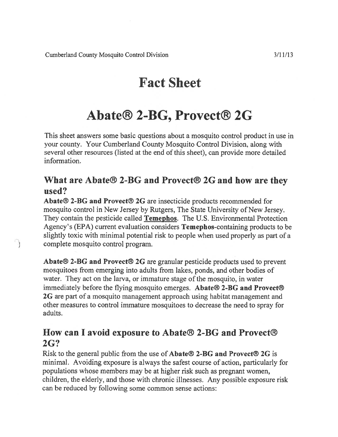$\bigcap$ 

# Fact Sheet

## Abate® 2-BG, Provect® 2G

This sheet answers some basic questions about <sup>a</sup> mosquito control product in use in your county. Your Cumberland County Mosquito Control Division, along with several other resources (listed at the end of this sheet), can provide more detailed information.

## What are Abate® 2-BG and Provect® 2G and how are they used?

Abate® 2-BG and Provect® 2G are insecticide products recommended for mosquito control in New Jersey by Rutgers, The State University of New Jersey. They contain the pesticide called **Temephos**. The U.S. Environmental Protection Agency's (EPA) current evaluation considers Temephos-containing products to be slightly toxic with minimal potential risk to people when used properly as par<sup>t</sup> of <sup>a</sup> complete mosquito control program.

Abate® 2-BG and Provect® 2G are granular pesticide products used to preven<sup>t</sup> mosquitoes from emerging into adults from lakes, ponds, and other bodies of water. They act on the larva, or immature stage of the mosquito, in water immediately before the flying mosquito emerges. Abate® 2-BG and Provect® 2G are part of a mosquito management approach using habitat management and other measures to control immature mosquitoes to decrease the need to spray for adults.

## How can I avoid exposure to Abate® 2-BG and Provect® 2G?

Risk to the general public from the use of **Abate<sup>®</sup> 2-BG and Provect<sup>®</sup> 2G** is minimal. Avoiding exposure is always the safest course of action, particularly for populations whose members may be at higher risk such as pregnan<sup>t</sup> women, children, the elderly, and those with chronic illnesses. Any possible exposure risk can be reduced by following some common sense actions: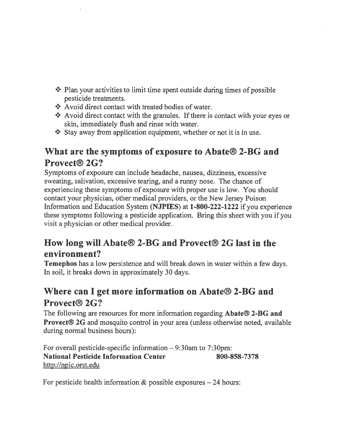- $\cdot$  Plan your activities to limit time spent outside during times of possible pesticide treatments.
- ❖ Avoid direct contact with treated bodies of water.
- $*$  Avoid direct contact with the granules. If there is contact with your eyes or skin, immediately flush and rinse with water.
- $\cdot$  Stay away from application equipment, whether or not it is in use.

## What are the symptoms of exposure to Abate® 2-BG and Provect® 2G?

Symptoms of exposure can include headache, nausea, dizziness, excessive sweating, salivation, excessive tearing, and <sup>a</sup> runny nose. The chance of experiencing these symptoms of exposure with proper use is low. You should contact your physician, other medical providers, or the New Jersey Poison Information and Education System (NJPIES) at 1-800-222-1222 if you experience these symptoms following <sup>a</sup> pesticide application. Bring this sheet with you if you visit <sup>a</sup> physician or other medical provider.

## How long will Abate® 2-BG and Provect® 2G last in the environment?

Temephos has <sup>a</sup> low persistence and will break down in water within <sup>a</sup> few days. In soil, it breaks down in approximately 30 days.

## Where can I ge<sup>t</sup> more information on Abate® 2-BG and Provect® 2G?

The following are resources for more information regarding Abate<sup>®</sup> 2-BG and Provect® 2G and mosquito control in your area (unless otherwise noted, available during normal business hours):

For overall pesticide-specific information — 9:30am to 7:30pm: National Pesticide Information Center 800-858-7378 http://npic.orst.edu

For pesticide health information  $\&$  possible exposures  $-24$  hours: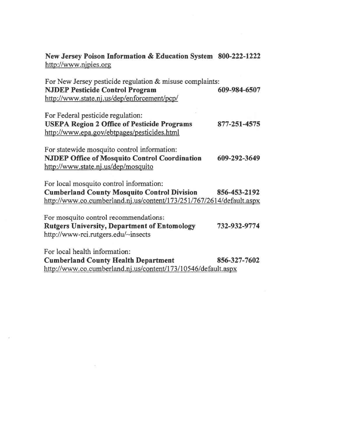New Jersey Poison Information & Education System 800-222-1222 http://www.njpies.org

| For New Jersey pesticide regulation & misuse complaints:<br><b>NJDEP Pesticide Control Program</b> | 609-984-6507 |
|----------------------------------------------------------------------------------------------------|--------------|
| http://www.state.nj.us/dep/enforcement/pcp/                                                        |              |
| For Federal pesticide regulation:                                                                  |              |
| <b>USEPA Region 2 Office of Pesticide Programs</b><br>http://www.epa.gov/ebtpages/pesticides.html  | 877-251-4575 |
| For statewide mosquito control information:                                                        |              |
| <b>NJDEP Office of Mosquito Control Coordination</b><br>http://www.state.nj.us/dep/mosquito        | 609-292-3649 |
| For local mosquito control information:                                                            |              |
| <b>Cumberland County Mosquito Control Division</b>                                                 | 856-453-2192 |
| http://www.co.cumberland.nj.us/content/173/251/767/2614/default.aspx                               |              |
| For mosquito control recommendations:                                                              |              |
| <b>Rutgers University, Department of Entomology</b><br>http://www-rci.rutgers.edu/~insects         | 732-932-9774 |
| For local health information:                                                                      |              |
| <b>Cumberland County Health Department</b>                                                         | 856-327-7602 |

http ://www.co .cumberland.nj.us/content/173/1 0546/default.aspx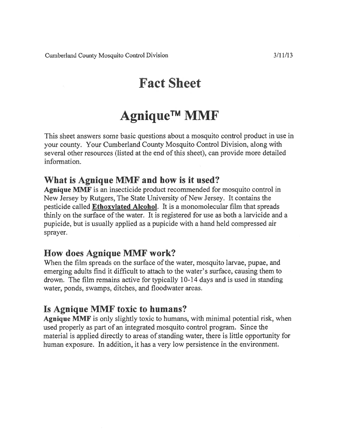# Fact Sheet

# Agnique™ MMF

This sheet answers some basic questions about <sup>a</sup> mosquito control product in use in your county. Your Cumberland County Mosquito Control Division, along with several other resources (listed at the end of this sheet), can provide more detailed information.

## What is Agnique MMF and how is it used?

Agnique MMF is an insecticide product recommended for mosquito control in New Jersey by Rutgers, The State University of New Jersey. It contains the pesticide called Ethoxylated Alcohol. It is <sup>a</sup> monomolecular film that spreads thinly on the surface of the water. It is registered for use as both a larvicide and a pupicide, but is usually applied as <sup>a</sup> pupicide with <sup>a</sup> hand held compressed air sprayer.

## How does Agnique MMF work?

When the film spreads on the surface of the water, mosquito larvae, pupae, and emerging adults find it difficult to attach to the water's surface, causing them to drown. The film remains active for typically 10-14 days and is used in standing water, ponds, swamps, ditches, and floodwater areas.

## Is Agnique MMF toxic to humans?

Agnique MMF is only slightly toxic to humans, with minimal potential risk, when used properly as par<sup>t</sup> of an integrated mosquito control program. Since the material is applied directly to areas of standing water, there is little opportunity for human exposure. In addition, it has <sup>a</sup> very low persistence in the environment.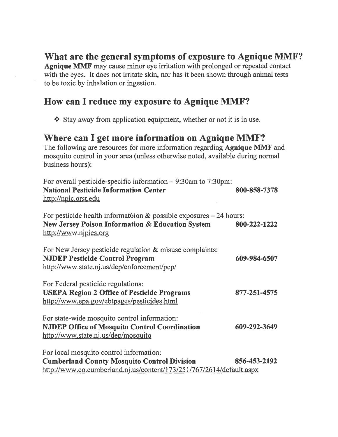## What are the general symptoms of exposure to Agnique MMF?

Agnique MMF may cause minor eye irritation with prolonged or repeated contact with the eyes. It does not irritate skin, nor has it been shown through animal tests to be toxic by inhalation or ingestion.

## How can I reduce my exposure to Agnique MMF?

<sup>+</sup> Stay away from application equipment, whether or not it is in use.

### Where can I ge<sup>t</sup> more information on Agnique MMF?

The following are resources for more information regarding Agnique MMF and mosquito control in your area (unless otherwise noted, available during normal business hours):

| For overall pesticide-specific information $-9:30$ am to 7:30pm:<br><b>National Pesticide Information Center</b><br>http://npic.orst.edu                              | 800-858-7378 |
|-----------------------------------------------------------------------------------------------------------------------------------------------------------------------|--------------|
| For pesticide health information $&$ possible exposures $-24$ hours:<br>New Jersey Poison Information & Education System<br>http://www.njpies.org                     | 800-222-1222 |
| For New Jersey pesticide regulation $\&$ misuse complaints:<br><b>NJDEP Pesticide Control Program</b><br>http://www.state.nj.us/dep/enforcement/pcp/                  | 609-984-6507 |
| For Federal pesticide regulations:<br><b>USEPA Region 2 Office of Pesticide Programs</b><br>http://www.epa.gov/ebtpages/pesticides.html                               | 877-251-4575 |
| For state-wide mosquito control information:<br><b>NJDEP Office of Mosquito Control Coordination</b><br>http://www.state.nj.us/dep/mosquito                           | 609-292-3649 |
| For local mosquito control information:<br><b>Cumberland County Mosquito Control Division</b><br>http://www.co.cumberland.nj.us/content/173/251/767/2614/default.aspx | 856-453-2192 |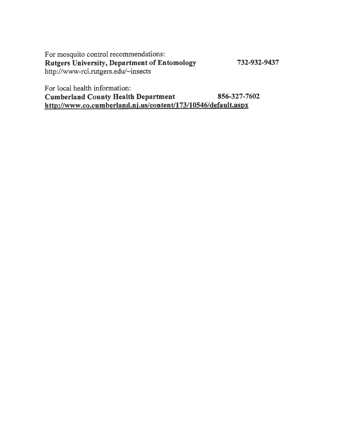For mosquito control recommendations: Rutgers University, Department of Entomology 732-932-9437 http://www-rci.rutgers.edu/~insects

For local health information:

Cumberland County Health Department 856-327-7602 http://www.co.cumberland.nj.us/content/173/10546/default.aspx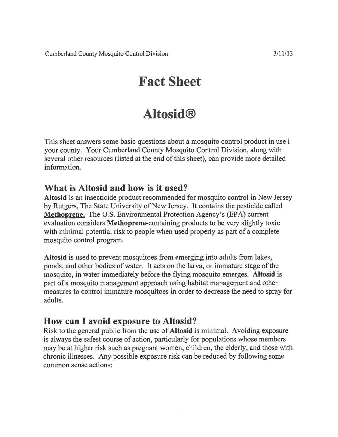Cumberland County Mosquito Control Division 3/11/13

## Fact Sheet

# Altosid®

This sheet answers some basic questions about <sup>a</sup> mosquito control product in use i your county. Your Cumberland County Mosquito Control Division, along with several other resources (listed at the end of this sheet), can provide more detailed information.

### What is Altosid and how is it used?

Altosid is an insecticide product recommended for mosquito control in New Jersey by Rutgers, The State University of New Jersey. It contains the pesticide called Methoprene. The U.S. Environmental Protection Agency's (EPA) current evaluation considers Methoprene-containing products to be very slightly toxic with minimal potential risk to people when used properly as par<sup>t</sup> of <sup>a</sup> complete mosquito control program.

Altosid is used to preven<sup>t</sup> mosquitoes from emerging into adults from lakes, ponds, and other bodies of water. It acts on the larva, or immature stage of the mosquito, in water immediately before the flying mosquito emerges. Altosid is par<sup>t</sup> of <sup>a</sup> mosquito managemen<sup>t</sup> approach using habitat managemen<sup>t</sup> and other measures to control immature mosquitoes in order to decrease the need to spray for adults.

## How can I avoid exposure to Altosid?

Risk to the general public from the use of Altosid is minimal. Avoiding exposure is always the safest course of action, particularly for populations whose members may be at higher risk such as pregnan<sup>t</sup> women, children, the elderly, and those with chronic illnesses. Any possible exposure risk can be reduced by following some common sense actions: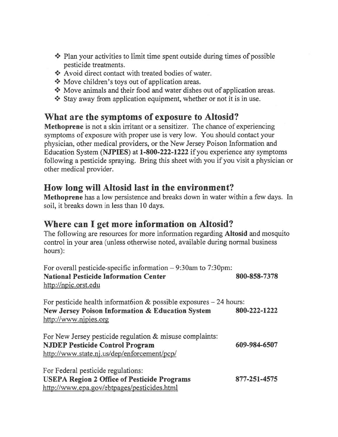- $\cdot$  Plan your activities to limit time spent outside during times of possible pesticide treatments.
- \* Avoid direct contact with treated bodies of water.
- ◆ Move children's toys out of application areas.
- ◆ Move animals and their food and water dishes out of application areas.
- $\cdot$  Stay away from application equipment, whether or not it is in use.

### What are the symptoms of exposure to Altosid?

Methoprene is not <sup>a</sup> skin irritant or <sup>a</sup> sensitizer. The chance of experiencing symptoms of exposure with proper use is very low. You should contact your physician, other medical providers, or the New Jersey Poison Information and Education System (NJPIES) at 1-800-222-1222 if you experience any symptoms following <sup>a</sup> pesticide spraying. Bring this sheet with you if you visit <sup>a</sup> physician or other medical provider.

## How long will Altosid last in the environment?

Methoprene has <sup>a</sup> low persistence and breaks down in water within <sup>a</sup> few days. In soil, it breaks down in less than 10 days.

### Where can I ge<sup>t</sup> more information on Altosid?

The following are resources for more information regarding Altosid and mosquito control in your area (unless otherwise noted, available during normal business hours):

| For overall pesticide-specific information $-9:30$ am to 7:30pm:<br><b>National Pesticide Information Center</b><br>http://npic.orst.edu           | 800-858-7378 |
|----------------------------------------------------------------------------------------------------------------------------------------------------|--------------|
| For pesticide health information $\&$ possible exposures $-24$ hours:<br>New Jersey Poison Information & Education System<br>http://www.njpies.org | 800-222-1222 |
| For New Jersey pesticide regulation & misuse complaints:<br><b>NJDEP Pesticide Control Program</b><br>http://www.state.nj.us/dep/enforcement/pcp/  | 609-984-6507 |
| For Federal pesticide regulations:<br><b>USEPA Region 2 Office of Pesticide Programs</b><br>http://www.epa.gov/ebtpages/pesticides.html            | 877-251-4575 |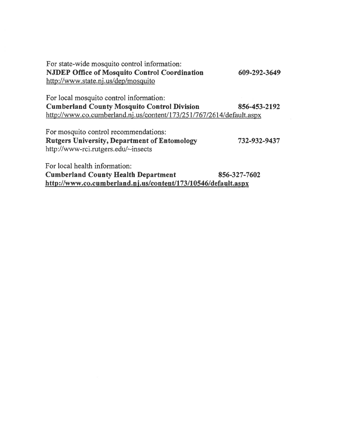| For state-wide mosquito control information:                         |              |
|----------------------------------------------------------------------|--------------|
| <b>NJDEP Office of Mosquito Control Coordination</b>                 | 609-292-3649 |
| http://www.state.nj.us/dep/mosquito                                  |              |
| For local mosquito control information:                              |              |
| <b>Cumberland County Mosquito Control Division</b>                   | 856-453-2192 |
| http://www.co.cumberland.nj.us/content/173/251/767/2614/default.aspx |              |
| For mosquito control recommendations:                                |              |
| <b>Rutgers University, Department of Entomology</b>                  | 732-932-9437 |
| http://www-rci.rutgers.edu/~insects                                  |              |
| For local health information:                                        |              |
| <b>Cumberland County Health Department</b>                           | 856-327-7602 |
| http://www.co.cumberland.nj.us/content/173/10546/default.aspx        |              |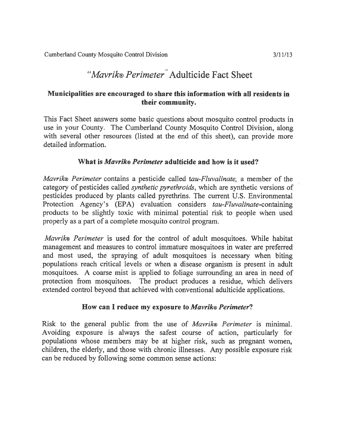### Municipalities are encouraged to share this information with all residents in their community.

This Fact Sheet answers some basic questions about mosquito control products in use in your County. The Cumberland County Mosquito Control Division, along with several other resources (listed at the end of this sheet), can provide more detailed information.

### What is *Mavrik® Perimeter* adulticide and how is it used?

Mavrik<sup>®</sup> Perimeter contains a pesticide called tau-Fluvalinate, a member of the category of pesticides called synthetic pyrethroids, which are synthetic versions of pesticides produced by plants called pyrethrins. The current U.S. Environmental Protection Agency's (EPA) evaluation considers tau-Fluvalinate-containing products to be slightly toxic with minimal potential risk to people when used properly as <sup>a</sup> par<sup>t</sup> of <sup>a</sup> complete mosquito control program.

Mavrik® Perimeter is used for the control of adult mosquitoes. While habitat managemen<sup>t</sup> and measures to control immature mosquitoes in water are preferred and most used, the spraying of adult mosquitoes is necessary when biting populations reach critical levels or when <sup>a</sup> disease organism is presen<sup>t</sup> in adult mosquitoes. A coarse mist is applied to foliage surrounding an area in need of protection from mosquitoes. The product produces <sup>a</sup> residue, which delivers extended control beyond that achieved with conventional adulticide applications.

#### How can I reduce my exposure to Mavrik® Perimeter?

Risk to the general public from the use of *Mavrik*® *Perimeter* is minimal. Avoiding exposure is always the safest course of action, particularly for populations whose members may be at higher risk, such as pregnan<sup>t</sup> women, children, the elderly, and those with chronic illnesses. Any possible exposure risk can be reduced by following some common sense actions: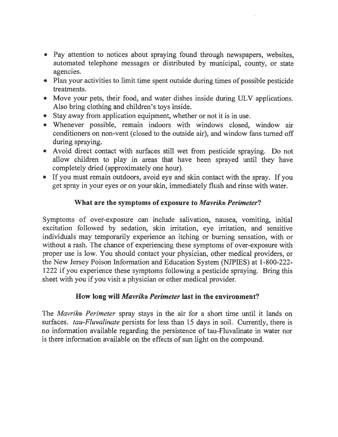- Pay attention to notices about spraying found through newspapers, websites, automated telephone messages or distributed by municipal, county, or state agencies.
- Plan your activities to limit time spen<sup>t</sup> outside during times of possible pesticide treatments.
- Move your pets, their food, and water dishes inside during ULV applications. Also bring clothing and children's toys inside.
- Stay away from application equipment, whether or not it is in use.
- Whenever possible, remain indoors with windows closed, window air conditioners on non-vent (closed to the outside air), and window fans turned off during spraying.
- Avoid direct contact with surfaces still wet from pesticide spraying. Do not allow children to play in areas that have been sprayed until they have completely dried (approximately one hour).
- If you must remain outdoors, avoid eye and skin contact with the spray. If you ge<sup>t</sup> spray in your eyes or on your skin, immediately flush and rinse with water.

### What are the symptoms of exposure to *Mavrik*® Perimeter?

Symptoms of over-exposure can include salivation, nausea, vomiting, initial excitation followed by sedation, skin irritation, eye irritation, and sensitive individuals may temporarily experience an itching or burning sensation, with or without <sup>a</sup> rash. The chance of experiencing these symptoms of over-exposure with proper use is low. You should contact your physician, other medical providers, or the New Jersey Poison Information and Education System (NIPIES) at 1-800-222- 1222 if you experience these symptoms following <sup>a</sup> pesticide spraying. Bring this sheet with you if you visit <sup>a</sup> physician or other medical provider.

#### How long will *Mavrik*® Perimeter last in the environment?

The *Mavrik*® *Perimeter* spray stays in the air for a short time until it lands on surfaces. tau-Fluvalinate persists for less than 15 days in soil. Currently, there is no information available regarding the persistence of tau-Fluvalinate in water nor is there information available on the effects of sun light on the compound.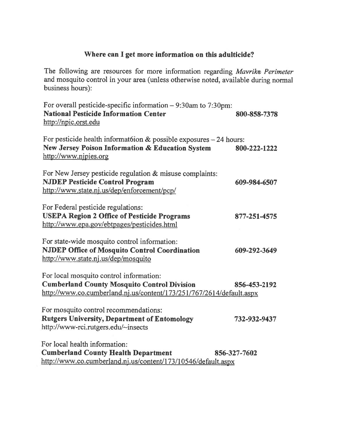### Where can I ge<sup>t</sup> more information on this adulticide?

The following are resources for more information regarding Mavrik® Perimeter and mosquito control in your area (unless otherwise noted, available during normal business hours):

| For overall pesticide-specific information $-9:30$ am to 7:30pm:<br><b>National Pesticide Information Center</b><br>http://npic.orst.edu                              | 800-858-7378 |
|-----------------------------------------------------------------------------------------------------------------------------------------------------------------------|--------------|
| For pesticide health information $\&$ possible exposures $-24$ hours:<br>New Jersey Poison Information & Education System<br>http://www.nipies.org                    | 800-222-1222 |
| For New Jersey pesticide regulation & misuse complaints:<br><b>NJDEP Pesticide Control Program</b><br>http://www.state.nj.us/dep/enforcement/pcp/                     | 609-984-6507 |
| For Federal pesticide regulations:<br><b>USEPA Region 2 Office of Pesticide Programs</b><br>http://www.epa.gov/ebtpages/pesticides.html                               | 877-251-4575 |
| For state-wide mosquito control information:<br><b>NJDEP Office of Mosquito Control Coordination</b><br>http://www.state.nj.us/dep/mosquito                           | 609-292-3649 |
| For local mosquito control information:<br><b>Cumberland County Mosquito Control Division</b><br>http://www.co.cumberland.nj.us/content/173/251/767/2614/default.aspx | 856-453-2192 |
| For mosquito control recommendations:<br><b>Rutgers University, Department of Entomology</b><br>http://www-rci.rutgers.edu/~insects                                   | 732-932-9437 |
| For local health information:<br><b>Cumberland County Health Department</b><br>http://www.co.cumberland.nj.us/content/173/10546/default.aspx                          | 856-327-7602 |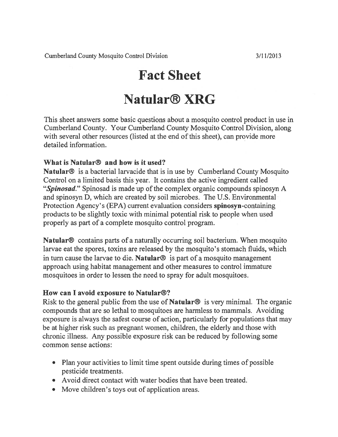## Fact Sheet

# Natular® XRG

This sheet answers some basic questions about <sup>a</sup> mosquito control product in use in Cumberland County. Your Cumberland County Mosquito Control Division, along with several other resources (listed at the end of this sheet), can provide more detailed information.

### What is Natular® and how is it used?

Natular® is <sup>a</sup> bacterial larvacide that is in use by Cumberland County Mosquito Control on <sup>a</sup> limited basis this year. It contains the active ingredient called "Spinosad." Spinosad is made up of the complex organic compounds spinosyn A and spinosyn D, which are created by soil microbes. The U.S. Environmental Protection Agency's (EPA) current evaluation considers spinosyn-containing products to be slightly toxic with minimal potential risk to people when used properly as par<sup>t</sup> of <sup>a</sup> complete mosquito control program.

Natular® contains parts of <sup>a</sup> naturally occurring soil bacterium. When mosquito larvae eat the spores, toxins are released by the mosquito's stomach fluids, which in turn cause the larvae to die. Natular<sup>®</sup> is part of a mosquito management approach using habitat managemen<sup>t</sup> and other measures to control immature mosquitoes in order to lessen the need to spray for adult mosquitoes.

#### How can I avoid exposure to Natular®?

Risk to the general public from the use of **Natular**<sup>®</sup> is very minimal. The organic compounds that are so lethal to mosquitoes are harmless to mammals. Avoiding exposure is always the safest course of action, particularly for populations that may be at higher risk such as pregnan<sup>t</sup> women, children, the elderly and those with chronic illness. Any possible exposure risk can be reduced by following some common sense actions:

- Plan your activities to limit time spent outside during times of possible pesticide treatments.
- Avoid direct contact with water bodies that have been treated.
- Move children's toys out of application areas.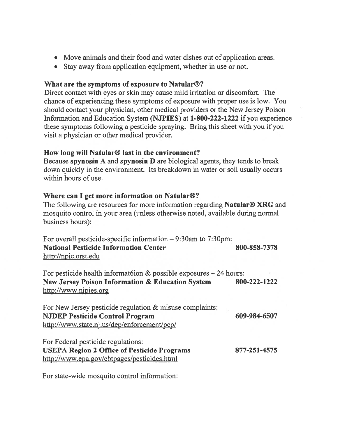- Move animals and their food and water dishes out of application areas.
- Stay away from application equipment, whether in use or not.

#### What are the symptoms of exposure to Natular®?

Direct contact with eyes or skin may cause mild irritation or discomfort. The chance of experiencing these symptoms of exposure with proper use is low. You should contact your physician, other medical providers or the New Jersey Poison Information and Education System (NJPIES) at 1-800-222-1222 if you experience these symptoms following <sup>a</sup> pesticide spraying. Bring this sheet with you if you visit <sup>a</sup> physician or other medical provider.

#### How long will Natular® last in the environment?

Because spynosin A and spynosin D are biological agents, they tends to break down quickly in the environment. Its breakdown in water or soil usually occurs within hours of use.

#### Where can I ge<sup>t</sup> more information on Natular®?

The following are resources for more information regarding **Natular<sup>®</sup> XRG** and mosquito control in your area (unless otherwise noted, available during normal business hours):

| For overall pesticide-specific information $-9:30$ am to 7:30pm: |              |
|------------------------------------------------------------------|--------------|
| <b>National Pesticide Information Center</b>                     | 800-858-7378 |
| http://npic.orst.edu                                             |              |

For pesticide health information  $\&$  possible exposures  $-24$  hours: New Jersey Poison Information & Education System 800-222-1222 http://www.nipies.org

| For New Jersey pesticide regulation & misuse complaints: |              |
|----------------------------------------------------------|--------------|
| <b>NJDEP Pesticide Control Program</b>                   | 609-984-6507 |
| http://www.state.nj.us/dep/enforcement/pcp/              |              |
|                                                          |              |

For Federal pesticide regulations: USEPA Region 2 Office of Pesticide Programs 877-251-4575 http ://www.epa.gov/ebtpages/pesticides.html

For state-wide mosquito control information: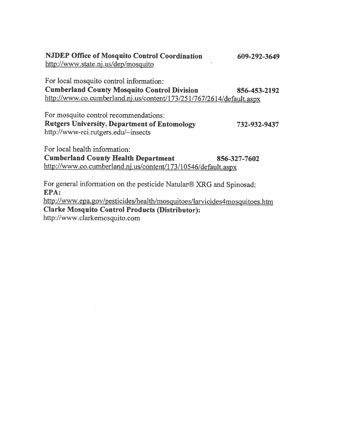NJDEP Office of Mosquito Control Coordination 609-292-3649 http://www.state.ni .us/dep/mosquito

For local mosquito control information: Cumberland County Mosquito Control Division 856-453-2192 http://www.co.cumberland.nj.us/content/173/251/767/2614/default.aspx

For mosquito control recommendations: Rutgers University, Department of Entomology 732-932-9437 http://www-rci.rutgers.edul—insects

For local health information:

Cumberland County Health Department 856-327-7602 http ://www.co. cumberland.nj.us/content/173/1 0546/default.aspx

For general information on the pesticide Natular® XRG and Spinosad: EPA: http://www.epa.gov/pesticides/health/mosquitoes/larvicides4mosquitoes.htm

Clarke Mosquito Control Products (Distributor): http://www.clarkemosquito.com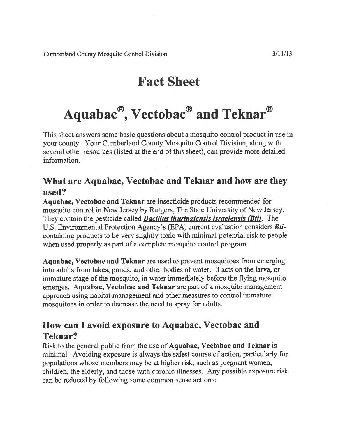## Fact Sheet

# Aquabac<sup>®</sup>, Vectobac<sup>®</sup> and Teknar<sup>®</sup>

This sheet answers some basic questions about <sup>a</sup> mosquito control product in use in your county. Your Cumberland County Mosquito Control Division, along with several other resources (listed at the end of this sheet), can provide more detailed information.

## What are Aquabac, Vectobac and Teknar and how are they used?

Aquabac, Vectobac and Teknar are insecticide products recommended for mosquito control in New Jersey by Rutgers, The State University of New Jersey. They contain the pesticide called **Bacillus thuringiensis israelensis (Bti)**. The U.S. Environmental Protection Agency's (EPA) current evaluation considers **Bti**containing products to be very slightly toxic with minimal potential risk to people when used properly as par<sup>t</sup> of <sup>a</sup> complete mosquito control program.

Aquabac, Vectobac and Teknar are used to preven<sup>t</sup> mosquitoes from emerging into adults from lakes, ponds, and other bodies of water. It acts on the larva, or immature stage of the mosquito, in water immediately before the flying mosquito emerges. Aquabac, Vectobac and Teknar are part of a mosquito management approach using habitat managemen<sup>t</sup> and other measures to control immature mosquitoes in order to decrease the need to spray for adults.

## How can I avoid exposure to Aquabac, Vectobac and Teknar?

Risk to the general public from the use of Aquabac, Vectobac and Teknar is minimal. Avoiding exposure is always the safest course of action, particularly for populations whose members may be at higher risk, such as pregnan<sup>t</sup> women, children, the elderly, and those with chronic illnesses. Any possible exposure risk can be reduced by following some common sense actions: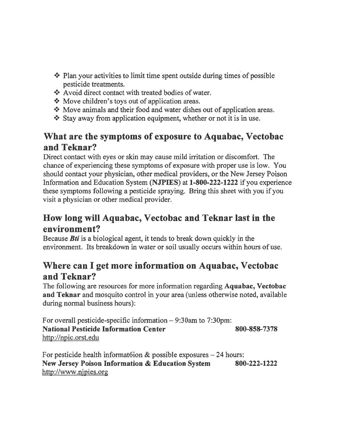- $\cdot$  Plan your activities to limit time spent outside during times of possible pesticide treatments.
- ❖ Avoid direct contact with treated bodies of water.
- ◆ Move children's toys out of application areas.
- Move animals and their food and water dishes out of application areas.
- $\cdot$  Stay away from application equipment, whether or not it is in use.

## What are the symptoms of exposure to Aquabac, Vectobac and Teknar?

Direct contact with eyes or skin may cause mild irritation or discomfort. The chance of experiencing these symptoms of exposure with proper use is low. You should contact your physician, other medical providers, or the New Jersey Poison Information and Education System (NJPIES) at 1-800-222-1222 if you experience these symptoms following <sup>a</sup> pesticide spraying. Bring this sheet with you if you visit <sup>a</sup> physician or other medical provider.

## How long will Aquabac, Vectobac and Teknar last in the environment?

Because *Bti* is a biological agent, it tends to break down quickly in the environment. Its breakdown in water or soil usually occurs within hours of use.

## Where can I ge<sup>t</sup> more information on Aquabac, Vectobac and Teknar?

The following are resources for more information regarding Aquabac, Vectobac and Teknar and mosquito control in your area (unless otherwise noted, available during normal business hours):

For overall pesticide-specific information — 9:30am to 7:30pm: National Pesticide Information Center 800-858-7378 http://npic.orst.edu

For pesticide health informatoion  $\&$  possible exposures  $-24$  hours: New Jersey Poison Information & Education System 800-222-1222 http://www.njpies.org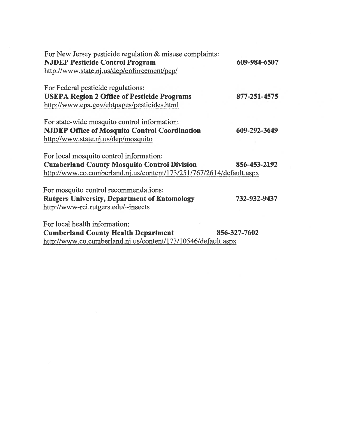| For New Jersey pesticide regulation & misuse complaints:<br><b>NJDEP Pesticide Control Program</b><br>http://www.state.nj.us/dep/enforcement/pcp/                                          | 609-984-6507 |
|--------------------------------------------------------------------------------------------------------------------------------------------------------------------------------------------|--------------|
| For Federal pesticide regulations:<br><b>USEPA Region 2 Office of Pesticide Programs</b>                                                                                                   | 877-251-4575 |
| http://www.epa.gov/ebtpages/pesticides.html<br>For state-wide mosquito control information:<br><b>NJDEP Office of Mosquito Control Coordination</b><br>http://www.state.nj.us/dep/mosquito | 609-292-3649 |
| For local mosquito control information:<br><b>Cumberland County Mosquito Control Division</b><br>http://www.co.cumberland.nj.us/content/173/251/767/2614/default.aspx                      | 856-453-2192 |
| For mosquito control recommendations:<br><b>Rutgers University, Department of Entomology</b><br>http://www-rci.rutgers.edu/~insects                                                        | 732-932-9437 |
| For local health information:<br><b>Cumberland County Health Department</b>                                                                                                                | 856-327-7602 |

 $\mathbb{S}^1_+$ 

http://www.co.cumberland.nj .us/content/173/10546/default. aspx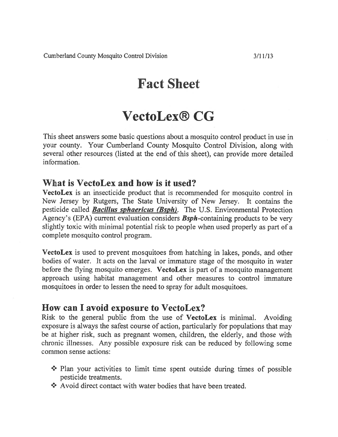## Fact Sheet

## VectoLex® CG

This sheet answers some basic questions about <sup>a</sup> mosquito control product in use in your county. Your Cumberland County Mosquito Control Division, along with several other resources (listed at the end of this sheet), can provide more detailed information.

### What is VectoLex and how is it used?

VectoLex is an insecticide product that is recommended for mosquito control in New Jersey by Rutgers, The State University of New Jersey. It contains the pesticide called **Bacillus sphaericus (Bsph)**. The U.S. Environmental Protection Agency's (EPA) current evaluation considers  $Bsph$ -containing products to be very slightly toxic with minimal potential risk to people when used properly as par<sup>t</sup> of <sup>a</sup> complete mosquito control program.

VectoLex is used to preven<sup>t</sup> mosquitoes from hatching in lakes, ponds, and other bodies of water. It acts on the larval or immature stage of the mosquito in water before the flying mosquito emerges. VectoLex is part of a mosquito management approach using habitat managemen<sup>t</sup> and other measures to control immature mosquitoes in order to lessen the need to spray for adult mosquitoes.

### How can I avoid exposure to VectoLex?

Risk to the general public from the use of VectoLex is minimal. Avoiding exposure is always the safest course of action, particularly for populations that may be at higher risk, such as pregnan<sup>t</sup> women, children, the elderly, and those with chronic illnesses. Any possible exposure risk can be reduced by following some common sense actions:

- $\cdot$  Plan your activities to limit time spent outside during times of possible pesticide treatments.
- \* Avoid direct contact with water bodies that have been treated.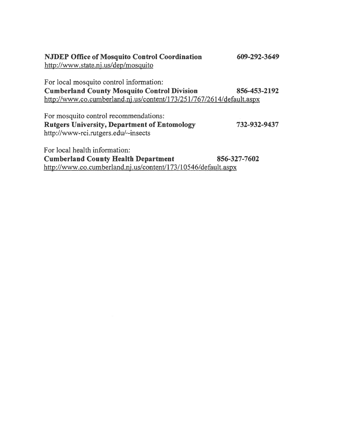| <b>NJDEP Office of Mosquito Control Coordination</b><br>http://www.state.nj.us/dep/mosquito | 609-292-3649 |
|---------------------------------------------------------------------------------------------|--------------|
| For local mosquito control information:                                                     |              |
| <b>Cumberland County Mosquito Control Division</b>                                          | 856-453-2192 |
| http://www.co.cumberland.nj.us/content/173/251/767/2614/default.aspx                        |              |
| For mosquito control recommendations:                                                       |              |
| <b>Rutgers University, Department of Entomology</b>                                         | 732-932-9437 |
| http://www-rci.rutgers.edu/~insects                                                         |              |
| For local health information:                                                               |              |
| <b>Cumberland County Health Department</b>                                                  | 856-327-7602 |
| http://www.co.cumberland.nj.us/content/173/10546/default.aspx                               |              |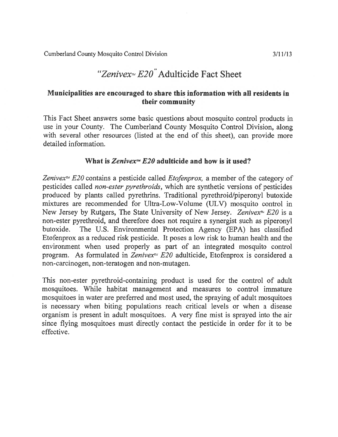## "Zenivex $\approx$  E20" Adulticide Fact Sheet

#### Municipalities are encouraged to share this information with all residents in their community

This Fact Sheet answers some basic questions about mosquito control products in use in your County. The Cumberland County Mosquito Control Division, along with several other resources (listed at the end of this sheet), can provide more detailed information.

#### What is Zenivex<sup> $M$ </sup> E20 adulticide and how is it used?

Zenivex<sup>*ni*</sup> E20 contains a pesticide called *Etofenprox*, a member of the category of pesticides called non-ester pyrethroids, which are synthetic versions of pesticides produced by plants called pyrethrins. Traditional pyrethroid/piperonyl butoxide mixtures are recommended for Ultra-Low-Volume (ULV) mosquito control in New Jersey by Rutgers, The State University of New Jersey. Zenivex<sup>n</sup> E20 is a non-ester pyrethroid, and therefore does not require <sup>a</sup> synergist such as piperonyl butoxide. The U.S. Environmental Protection Agency (EPA) has classified Etofenprox as <sup>a</sup> reduced risk pesticide. It poses <sup>a</sup> low risk to human health and the environment when used properly as par<sup>t</sup> of an integrated mosquito control program. As formulated in Zenivex $\pi$ <sup>1</sup> E20 adulticide, Etofenprox is considered a non-carcinogen, non-teratogen and non-mutagen.

This non-ester pyrethroid-containing product is used for the control of adult mosquitoes. While habitat managemen<sup>t</sup> and measures to control immature mosquitoes in water are preferred and most used, the spraying of adult mosquitoes is necessary when biting populations reach critical levels or when <sup>a</sup> disease organism is presen<sup>t</sup> in adult mosquitoes. A very fine mist is sprayed into the air since flying mosquitoes must directly contact the pesticide in order for it to be effective.